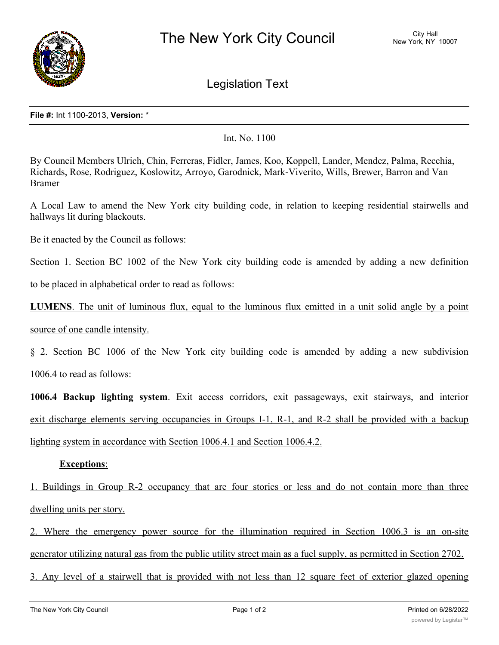

Legislation Text

## **File #:** Int 1100-2013, **Version:** \*

Int. No. 1100

By Council Members Ulrich, Chin, Ferreras, Fidler, James, Koo, Koppell, Lander, Mendez, Palma, Recchia, Richards, Rose, Rodriguez, Koslowitz, Arroyo, Garodnick, Mark-Viverito, Wills, Brewer, Barron and Van Bramer

A Local Law to amend the New York city building code, in relation to keeping residential stairwells and hallways lit during blackouts.

Be it enacted by the Council as follows:

Section 1. Section BC 1002 of the New York city building code is amended by adding a new definition

to be placed in alphabetical order to read as follows:

**LUMENS**. The unit of luminous flux, equal to the luminous flux emitted in a unit solid angle by a point source of one candle intensity.

§ 2. Section BC 1006 of the New York city building code is amended by adding a new subdivision

1006.4 to read as follows:

**1006.4 Backup lighting system**. Exit access corridors, exit passageways, exit stairways, and interior exit discharge elements serving occupancies in Groups I-1, R-1, and R-2 shall be provided with a backup lighting system in accordance with Section 1006.4.1 and Section 1006.4.2.

## **Exceptions**:

1. Buildings in Group R-2 occupancy that are four stories or less and do not contain more than three dwelling units per story.

2. Where the emergency power source for the illumination required in Section 1006.3 is an on-site generator utilizing natural gas from the public utility street main as a fuel supply, as permitted in Section 2702.

3. Any level of a stairwell that is provided with not less than 12 square feet of exterior glazed opening